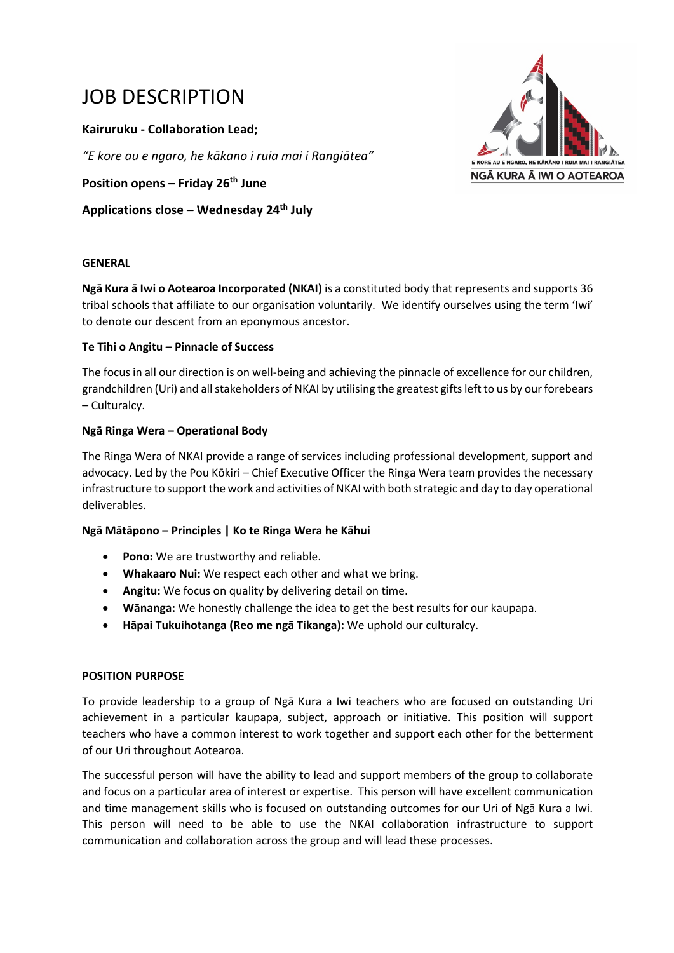# JOB DESCRIPTION

**Kairuruku - Collaboration Lead;** 

*"E kore au e ngaro, he kākano i ruia mai i Rangiātea"*

**Position opens – Friday 26th June**

**Applications close – Wednesday 24th July**



#### **GENERAL**

**Ngā Kura ā Iwi o Aotearoa Incorporated (NKAI)** is a constituted body that represents and supports 36 tribal schools that affiliate to our organisation voluntarily. We identify ourselves using the term 'Iwi' to denote our descent from an eponymous ancestor.

# **Te Tihi o Angitu – Pinnacle of Success**

The focus in all our direction is on well-being and achieving the pinnacle of excellence for our children, grandchildren (Uri) and all stakeholders of NKAI by utilising the greatest gifts left to us by our forebears – Culturalcy.

# **Ngā Ringa Wera – Operational Body**

The Ringa Wera of NKAI provide a range of services including professional development, support and advocacy. Led by the Pou Kōkiri – Chief Executive Officer the Ringa Wera team provides the necessary infrastructure to support the work and activities of NKAI with both strategic and day to day operational deliverables.

# **Ngā Mātāpono – Principles | Ko te Ringa Wera he Kāhui**

- **Pono:** We are trustworthy and reliable.
- **Whakaaro Nui:** We respect each other and what we bring.
- **Angitu:** We focus on quality by delivering detail on time.
- **Wānanga:** We honestly challenge the idea to get the best results for our kaupapa.
- **Hāpai Tukuihotanga (Reo me ngā Tikanga):** We uphold our culturalcy.

#### **POSITION PURPOSE**

To provide leadership to a group of Ngā Kura a Iwi teachers who are focused on outstanding Uri achievement in a particular kaupapa, subject, approach or initiative. This position will support teachers who have a common interest to work together and support each other for the betterment of our Uri throughout Aotearoa.

The successful person will have the ability to lead and support members of the group to collaborate and focus on a particular area of interest or expertise. This person will have excellent communication and time management skills who is focused on outstanding outcomes for our Uri of Ngā Kura a Iwi. This person will need to be able to use the NKAI collaboration infrastructure to support communication and collaboration across the group and will lead these processes.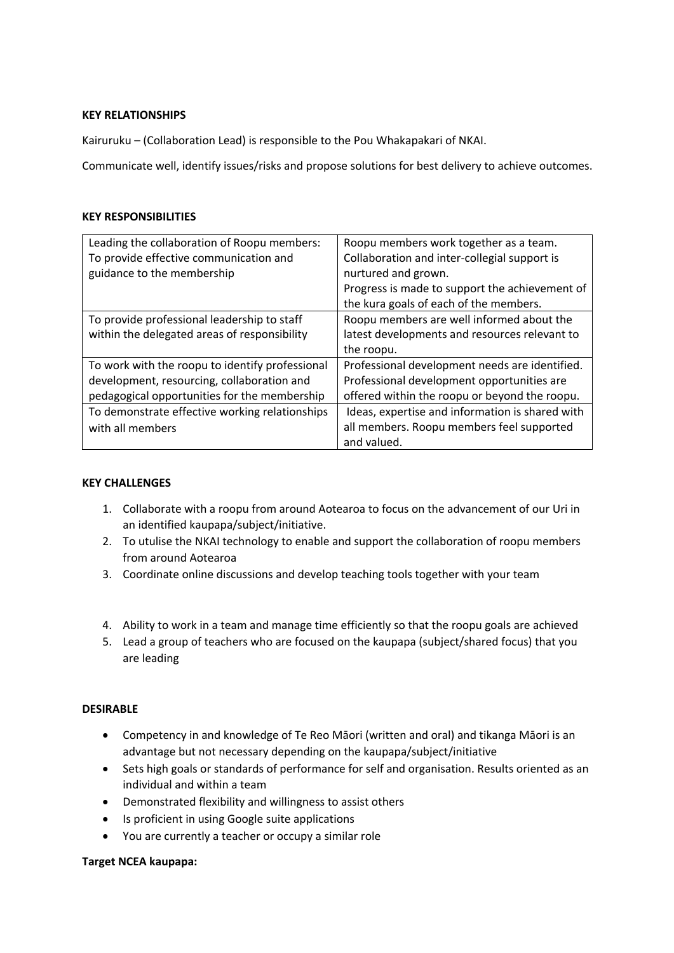# **KEY RELATIONSHIPS**

Kairuruku – (Collaboration Lead) is responsible to the Pou Whakapakari of NKAI.

Communicate well, identify issues/risks and propose solutions for best delivery to achieve outcomes.

#### **KEY RESPONSIBILITIES**

| Leading the collaboration of Roopu members:     | Roopu members work together as a team.          |
|-------------------------------------------------|-------------------------------------------------|
| To provide effective communication and          | Collaboration and inter-collegial support is    |
| guidance to the membership                      | nurtured and grown.                             |
|                                                 | Progress is made to support the achievement of  |
|                                                 | the kura goals of each of the members.          |
| To provide professional leadership to staff     | Roopu members are well informed about the       |
| within the delegated areas of responsibility    | latest developments and resources relevant to   |
|                                                 | the roopu.                                      |
| To work with the roopu to identify professional | Professional development needs are identified.  |
| development, resourcing, collaboration and      | Professional development opportunities are      |
| pedagogical opportunities for the membership    | offered within the roopu or beyond the roopu.   |
| To demonstrate effective working relationships  | Ideas, expertise and information is shared with |
| with all members                                | all members. Roopu members feel supported       |
|                                                 | and valued.                                     |

# **KEY CHALLENGES**

- 1. Collaborate with a roopu from around Aotearoa to focus on the advancement of our Uri in an identified kaupapa/subject/initiative.
- 2. To utulise the NKAI technology to enable and support the collaboration of roopu members from around Aotearoa
- 3. Coordinate online discussions and develop teaching tools together with your team
- 4. Ability to work in a team and manage time efficiently so that the roopu goals are achieved
- 5. Lead a group of teachers who are focused on the kaupapa (subject/shared focus) that you are leading

#### **DESIRABLE**

- Competency in and knowledge of Te Reo Māori (written and oral) and tikanga Māori is an advantage but not necessary depending on the kaupapa/subject/initiative
- Sets high goals or standards of performance for self and organisation. Results oriented as an individual and within a team
- Demonstrated flexibility and willingness to assist others
- Is proficient in using Google suite applications
- You are currently a teacher or occupy a similar role

#### **Target NCEA kaupapa:**